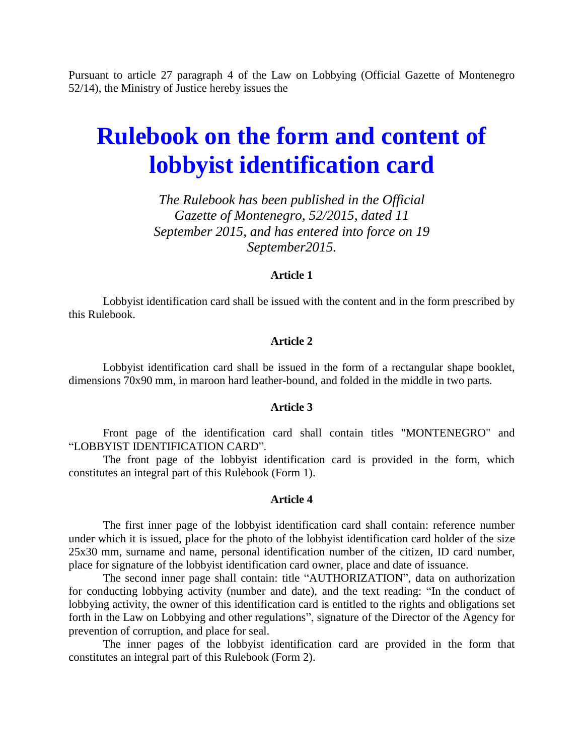Pursuant to article 27 paragraph 4 of the Law on Lobbying (Official Gazette of Montenegro 52/14), the Ministry of Justice hereby issues the

# **Rulebook on the form and content of lobbyist identification card**

*The Rulebook has been published in the Official Gazette of Montenegro, 52/2015, dated 11 September 2015, and has entered into force on 19 September2015.*

## **Article 1**

Lobbyist identification card shall be issued with the content and in the form prescribed by this Rulebook.

## **Article 2**

Lobbyist identification card shall be issued in the form of a rectangular shape booklet, dimensions 70x90 mm, in maroon hard leather-bound, and folded in the middle in two parts.

#### **Article 3**

Front page of the identification card shall contain titles "MONTENEGRO" and "LOBBYIST IDENTIFICATION CARD".

The front page of the lobbyist identification card is provided in the form, which constitutes an integral part of this Rulebook (Form 1).

#### **Article 4**

The first inner page of the lobbyist identification card shall contain: reference number under which it is issued, place for the photo of the lobbyist identification card holder of the size 25x30 mm, surname and name, personal identification number of the citizen, ID card number, place for signature of the lobbyist identification card owner, place and date of issuance.

The second inner page shall contain: title "AUTHORIZATION", data on authorization for conducting lobbying activity (number and date), and the text reading: "In the conduct of lobbying activity, the owner of this identification card is entitled to the rights and obligations set forth in the Law on Lobbying and other regulations", signature of the Director of the Agency for prevention of corruption, and place for seal.

The inner pages of the lobbyist identification card are provided in the form that constitutes an integral part of this Rulebook (Form 2).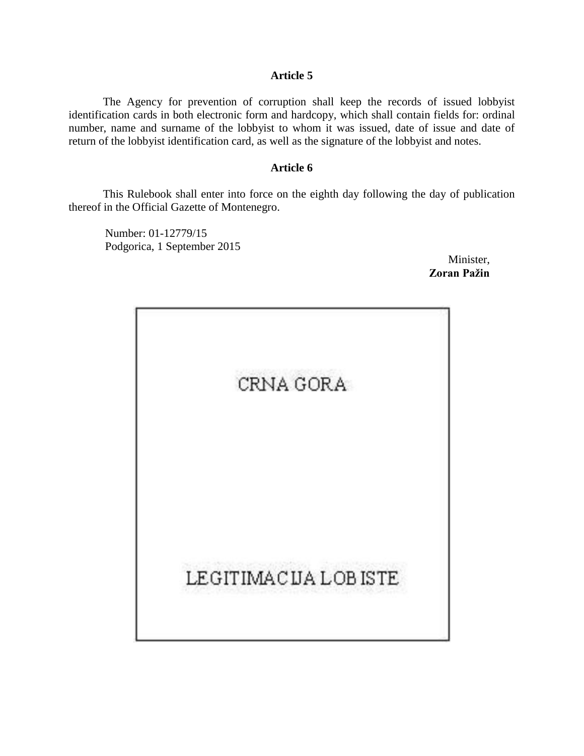# **Article 5**

The Agency for prevention of corruption shall keep the records of issued lobbyist identification cards in both electronic form and hardcopy, which shall contain fields for: ordinal number, name and surname of the lobbyist to whom it was issued, date of issue and date of return of the lobbyist identification card, as well as the signature of the lobbyist and notes.

# **Article 6**

This Rulebook shall enter into force on the eighth day following the day of publication thereof in the Official Gazette of Montenegro.

Number: 01-12779/15 Podgorica, 1 September 2015

Minister, **Zoran Pažin**